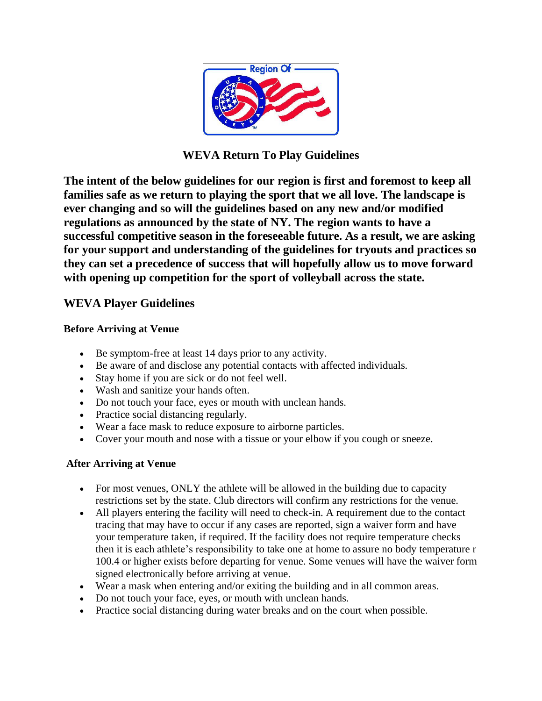

**WEVA Return To Play Guidelines**

**The intent of the below guidelines for our region is first and foremost to keep all families safe as we return to playing the sport that we all love. The landscape is ever changing and so will the guidelines based on any new and/or modified regulations as announced by the state of NY. The region wants to have a successful competitive season in the foreseeable future. As a result, we are asking for your support and understanding of the guidelines for tryouts and practices so they can set a precedence of success that will hopefully allow us to move forward with opening up competition for the sport of volleyball across the state.** 

## **WEVA Player Guidelines**

### **Before Arriving at Venue**

- Be symptom-free at least 14 days prior to any activity.
- Be aware of and disclose any potential contacts with affected individuals.
- Stay home if you are sick or do not feel well.
- Wash and sanitize your hands often.
- Do not touch your face, eyes or mouth with unclean hands.
- Practice social distancing regularly.
- Wear a face mask to reduce exposure to airborne particles.
- Cover your mouth and nose with a tissue or your elbow if you cough or sneeze.

### **After Arriving at Venue**

- For most venues, ONLY the athlete will be allowed in the building due to capacity restrictions set by the state. Club directors will confirm any restrictions for the venue.
- All players entering the facility will need to check-in. A requirement due to the contact tracing that may have to occur if any cases are reported, sign a waiver form and have your temperature taken, if required. If the facility does not require temperature checks then it is each athlete's responsibility to take one at home to assure no body temperature r 100.4 or higher exists before departing for venue. Some venues will have the waiver form signed electronically before arriving at venue.
- Wear a mask when entering and/or exiting the building and in all common areas.
- Do not touch your face, eyes, or mouth with unclean hands.
- Practice social distancing during water breaks and on the court when possible.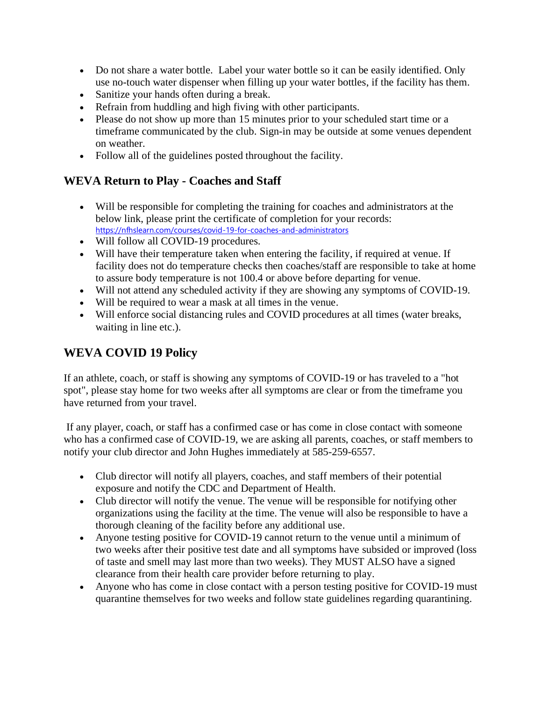- Do not share a water bottle. Label your water bottle so it can be easily identified. Only use no-touch water dispenser when filling up your water bottles, if the facility has them.
- Sanitize your hands often during a break.
- Refrain from huddling and high fiving with other participants.
- Please do not show up more than 15 minutes prior to your scheduled start time or a timeframe communicated by the club. Sign-in may be outside at some venues dependent on weather.
- Follow all of the guidelines posted throughout the facility.

## **WEVA Return to Play - Coaches and Staff**

- Will be responsible for completing the training for coaches and administrators at the below link, please print the certificate of completion for your records: <https://nfhslearn.com/courses/covid-19-for-coaches-and-administrators>
- Will follow all COVID-19 procedures.
- Will have their temperature taken when entering the facility, if required at venue. If facility does not do temperature checks then coaches/staff are responsible to take at home to assure body temperature is not 100.4 or above before departing for venue.
- Will not attend any scheduled activity if they are showing any symptoms of COVID-19.
- Will be required to wear a mask at all times in the venue.
- Will enforce social distancing rules and COVID procedures at all times (water breaks, waiting in line etc.).

## **WEVA COVID 19 Policy**

If an athlete, coach, or staff is showing any symptoms of COVID-19 or has traveled to a "hot spot", please stay home for two weeks after all symptoms are clear or from the timeframe you have returned from your travel.

If any player, coach, or staff has a confirmed case or has come in close contact with someone who has a confirmed case of COVID-19, we are asking all parents, coaches, or staff members to notify your club director and John Hughes immediately at 585-259-6557.

- Club director will notify all players, coaches, and staff members of their potential exposure and notify the CDC and Department of Health.
- Club director will notify the venue. The venue will be responsible for notifying other organizations using the facility at the time. The venue will also be responsible to have a thorough cleaning of the facility before any additional use.
- Anyone testing positive for COVID-19 cannot return to the venue until a minimum of two weeks after their positive test date and all symptoms have subsided or improved (loss of taste and smell may last more than two weeks). They MUST ALSO have a signed clearance from their health care provider before returning to play.
- Anyone who has come in close contact with a person testing positive for COVID-19 must quarantine themselves for two weeks and follow state guidelines regarding quarantining.